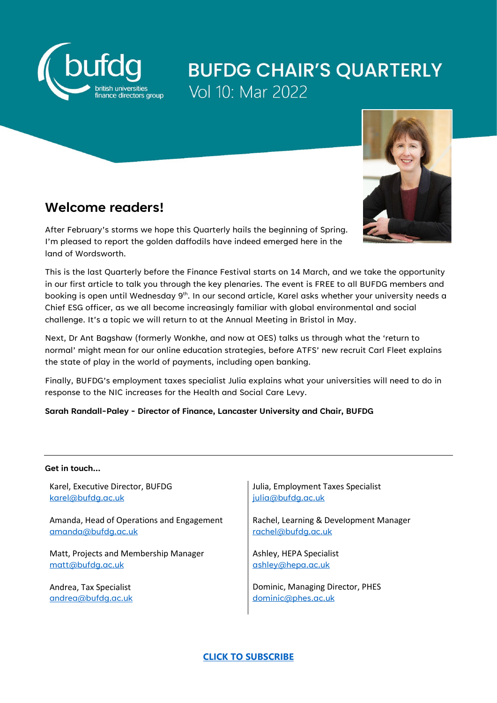

# **BUFDG CHAIR'S QUARTERLY** Vol 10: Mar 2022



### **Welcome readers!**

After February's storms we hope this Quarterly hails the beginning of Spring. I'm pleased to report the golden daffodils have indeed emerged here in the land of Wordsworth.

This is the last Quarterly before the Finance Festival starts on 14 March, and we take the opportunity in our first article to talk you through the key plenaries. The event is FREE to all BUFDG members and booking is open until Wednesday 9<sup>th</sup>. In our second article, Karel asks whether your university needs a Chief ESG officer, as we all become increasingly familiar with global environmental and social challenge. It's a topic we will return to at the Annual Meeting in Bristol in May.

Next, Dr Ant Bagshaw (formerly Wonkhe, and now at OES) talks us through what the 'return to normal' might mean for our online education strategies, before ATFS' new recruit Carl Fleet explains the state of play in the world of payments, including open banking.

Finally, BUFDG's employment taxes specialist Julia explains what your universities will need to do in response to the NIC increases for the Health and Social Care Levy.

**Sarah Randall-Paley - Director of Finance, Lancaster University and Chair, BUFDG**

#### **Get in touch…**

Karel, Executive Director, BUFDG [karel@bufdg.ac.uk](mailto:karel@bufdg.ac.uk)

Amanda, Head of Operations and Engagement [amanda@bufdg.ac.uk](mailto:amanda@bufdg.ac.uk)

Matt, Projects and Membership Manager [matt@bufdg.ac.uk](mailto:matt@bufdg.ac.uk)

Andrea, Tax Specialist [andrea@bufdg.ac.uk](mailto:andrea@bufdg.ac.uk) Julia, Employment Taxes Specialist [julia@bufdg.ac.uk](mailto:julia@bufdg.ac.uk)

Rachel, Learning & Development Manager [rachel@bufdg.ac.uk](mailto:rachel@bufdg.ac.uk)

Ashley, HEPA Specialist [ashley@hepa.ac.uk](mailto:ashley@hepa.ac.uk)

Dominic, Managing Director, PHES [dominic@phes.ac.uk](mailto:dominic@phes.ac.uk)

### **[CLICK TO SUBSCRIBE](https://bufdg.us14.list-manage.com/track/click?u=6722d2b2b7d330a4019ea1d6c&id=e2307b1779&e=9c6bf76166)**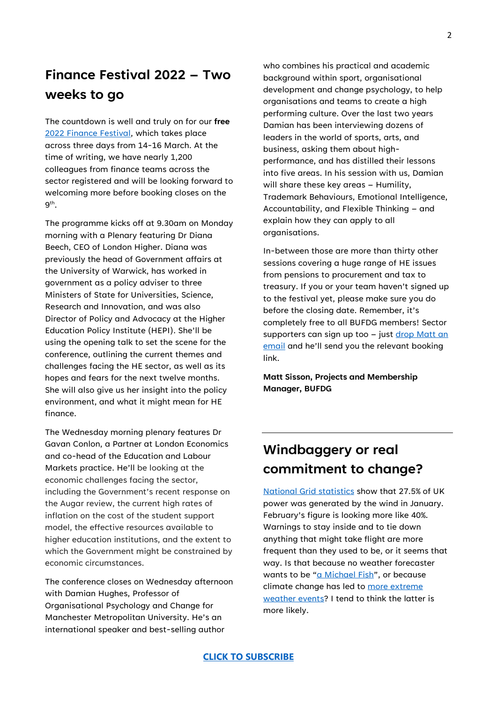### **Finance Festival 2022 – Two weeks to go**

The countdown is well and truly on for our **free** [2022 Finance Festival,](https://www.bufdg.ac.uk/bufdg-finance-festival-2022/) which takes place across three days from 14-16 March. At the time of writing, we have nearly 1,200 colleagues from finance teams across the sector registered and will be looking forward to welcoming more before booking closes on the  $9<sup>th</sup>$ .

The programme kicks off at 9.30am on Monday morning with a Plenary featuring Dr Diana Beech, CEO of London Higher. Diana was previously the head of Government affairs at the University of Warwick, has worked in government as a policy adviser to three Ministers of State for Universities, Science, Research and Innovation, and was also Director of Policy and Advocacy at the Higher Education Policy Institute (HEPI). She'll be using the opening talk to set the scene for the conference, outlining the current themes and challenges facing the HE sector, as well as its hopes and fears for the next twelve months. She will also give us her insight into the policy environment, and what it might mean for HE finance.

The Wednesday morning plenary features Dr Gavan Conlon, a Partner at London Economics and co-head of the Education and Labour Markets practice. He'll be looking at the economic challenges facing the sector, including the Government's recent response on the Augar review, the current high rates of inflation on the cost of the student support model, the effective resources available to higher education institutions, and the extent to which the Government might be constrained by economic circumstances.

The conference closes on Wednesday afternoon with Damian Hughes, Professor of Organisational Psychology and Change for Manchester Metropolitan University. He's an international speaker and best-selling author

who combines his practical and academic background within sport, organisational development and change psychology, to help organisations and teams to create a high performing culture. Over the last two years Damian has been interviewing dozens of leaders in the world of sports, arts, and business, asking them about highperformance, and has distilled their lessons into five areas. In his session with us, Damian will share these key areas – Humility, Trademark Behaviours, Emotional Intelligence, Accountability, and Flexible Thinking – and explain how they can apply to all organisations.

In-between those are more than thirty other sessions covering a huge range of HE issues from pensions to procurement and tax to treasury. If you or your team haven't signed up to the festival yet, please make sure you do before the closing date. Remember, it's completely free to all BUFDG members! Sector supporters can sign up too – just drop Matt an [email](mailto:matt@bufdg.ac.uk) and he'll send you the relevant booking link.

**Matt Sisson, Projects and Membership Manager, BUFDG**

### **Windbaggery or real commitment to change?**

[National Grid statistics](https://twitter.com/NationalGridESO) show that 27.5% of UK power was generated by the wind in January. February's figure is looking more like 40%. Warnings to stay inside and to tie down anything that might take flight are more frequent than they used to be, or it seems that way. Is that because no weather forecaster wants to be ["a Michael Fish"](http://www.michael-fish.com/), or because climate change has led to more extreme [weather events?](https://www.bbc.co.uk/news/science-environment-60348947) I tend to think the latter is more likely.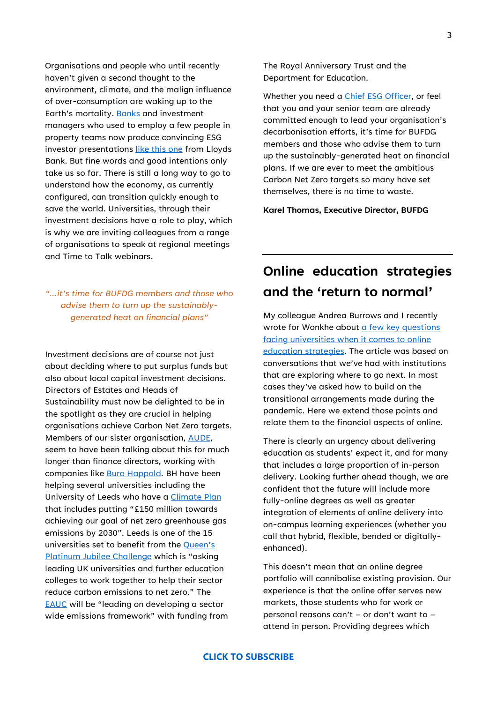Organisations and people who until recently haven't given a second thought to the environment, climate, and the malign influence of over-consumption are waking up to the Earth's mortality. [Banks](https://www.lloydsbankinggroup.com/insights/esg-explained.html) and investment managers who used to employ a few people in property teams now produce convincing ESG investor presentations [like this one](https://www.lloydsbankinggroup.com/assets/pdfs/investors/financial-performance/lloyds-banking-group-plc/2021/half-year/2021jul-lbg-esg-investor-presentation.pdf) from Lloyds Bank. But fine words and good intentions only take us so far. There is still a long way to go to understand how the economy, as currently configured, can transition quickly enough to save the world. Universities, through their investment decisions have a role to play, which is why we are inviting colleagues from a range of organisations to speak at regional meetings and Time to Talk webinars.

### *"…it's time for BUFDG members and those who advise them to turn up the sustainablygenerated heat on financial plans"*

Investment decisions are of course not just about deciding where to put surplus funds but also about local capital investment decisions. Directors of Estates and Heads of Sustainability must now be delighted to be in the spotlight as they are crucial in helping organisations achieve Carbon Net Zero targets. Members of our sister organisation, [AUDE,](https://www.aude.ac.uk/) seem to have been talking about this for much longer than finance directors, working with companies like [Buro Happold.](https://www.linkedin.com/pulse/future-higher-education-estate-has-zero-carbon-lara-balazs/?trackingId=2WGCUDrXqguFRe%2FIb4Bm%2Fg%3D%3D) BH have been helping several universities including the University of Leeds who have a [Climate Plan](https://spotlight.leeds.ac.uk/climate-plan/) that includes putting "£150 million towards achieving our goal of net zero greenhouse gas emissions by 2030". Leeds is one of the 15 universities set to benefit from th[e Queen's](https://www.queensanniversaryprizes.org.uk/wp-content/uploads/2022/02/QPJ-Challenge-press-release-final.pdf)  [Platinum Jubilee Challenge](https://www.queensanniversaryprizes.org.uk/wp-content/uploads/2022/02/QPJ-Challenge-press-release-final.pdf) which is "asking leading UK universities and further education colleges to work together to help their sector reduce carbon emissions to net zero." The [EAUC](https://www.eauc.org.uk/) will be "leading on developing a sector wide emissions framework" with funding from

The Royal Anniversary Trust and the Department for Education.

Whether you need a [Chief ESG Officer,](https://hbr.org/2022/02/does-your-company-need-a-chief-esg-officer) or feel that you and your senior team are already committed enough to lead your organisation's decarbonisation efforts, it's time for BUFDG members and those who advise them to turn up the sustainably-generated heat on financial plans. If we are ever to meet the ambitious Carbon Net Zero targets so many have set themselves, there is no time to waste.

**Karel Thomas, Executive Director, BUFDG**

## **Online education strategies and the 'return to normal'**

My colleague Andrea Burrows and I recently wrote for Wonkhe about a few key questions [facing universities when it comes to online](https://wonkhe.com/blogs/new-year-new-online-u-five-questions-to-ask-about-your-online-education-portfolio/)  [education strategies.](https://wonkhe.com/blogs/new-year-new-online-u-five-questions-to-ask-about-your-online-education-portfolio/) The article was based on conversations that we've had with institutions that are exploring where to go next. In most cases they've asked how to build on the transitional arrangements made during the pandemic. Here we extend those points and relate them to the financial aspects of online.

There is clearly an urgency about delivering education as students' expect it, and for many that includes a large proportion of in-person delivery. Looking further ahead though, we are confident that the future will include more fully-online degrees as well as greater integration of elements of online delivery into on-campus learning experiences (whether you call that hybrid, flexible, bended or digitallyenhanced).

This doesn't mean that an online degree portfolio will cannibalise existing provision. Our experience is that the online offer serves new markets, those students who for work or personal reasons can't – or don't want to – attend in person. Providing degrees which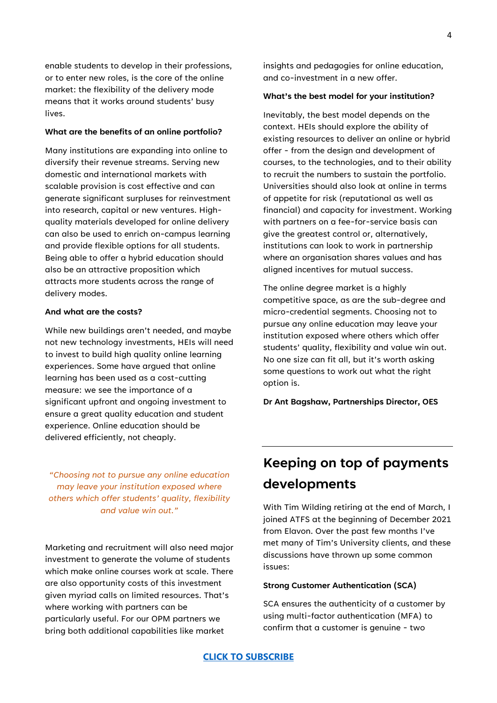enable students to develop in their professions, or to enter new roles, is the core of the online market: the flexibility of the delivery mode means that it works around students' busy lives.

#### **What are the benefits of an online portfolio?**

Many institutions are expanding into online to diversify their revenue streams. Serving new domestic and international markets with scalable provision is cost effective and can generate significant surpluses for reinvestment into research, capital or new ventures. Highquality materials developed for online delivery can also be used to enrich on-campus learning and provide flexible options for all students. Being able to offer a hybrid education should also be an attractive proposition which attracts more students across the range of delivery modes.

#### **And what are the costs?**

While new buildings aren't needed, and maybe not new technology investments, HEIs will need to invest to build high quality online learning experiences. Some have argued that online learning has been used as a cost-cutting measure: we see the importance of a significant upfront and ongoing investment to ensure a great quality education and student experience. Online education should be delivered efficiently, not cheaply.

*"Choosing not to pursue any online education may leave your institution exposed where others which offer students' quality, flexibility and value win out."*

Marketing and recruitment will also need major investment to generate the volume of students which make online courses work at scale. There are also opportunity costs of this investment given myriad calls on limited resources. That's where working with partners can be particularly useful. For our OPM partners we bring both additional capabilities like market

insights and pedagogies for online education, and co-investment in a new offer.

#### **What's the best model for your institution?**

Inevitably, the best model depends on the context. HEIs should explore the ability of existing resources to deliver an online or hybrid offer - from the design and development of courses, to the technologies, and to their ability to recruit the numbers to sustain the portfolio. Universities should also look at online in terms of appetite for risk (reputational as well as financial) and capacity for investment. Working with partners on a fee-for-service basis can give the greatest control or, alternatively, institutions can look to work in partnership where an organisation shares values and has aligned incentives for mutual success.

The online degree market is a highly competitive space, as are the sub-degree and micro-credential segments. Choosing not to pursue any online education may leave your institution exposed where others which offer students' quality, flexibility and value win out. No one size can fit all, but it's worth asking some questions to work out what the right option is.

**Dr Ant Bagshaw, Partnerships Director, OES**

### **Keeping on top of payments developments**

With Tim Wilding retiring at the end of March, I joined ATFS at the beginning of December 2021 from Elavon. Over the past few months I've met many of Tim's University clients, and these discussions have thrown up some common issues:

#### **Strong Customer Authentication (SCA)**

SCA ensures the authenticity of a customer by using multi-factor authentication (MFA) to confirm that a customer is genuine - two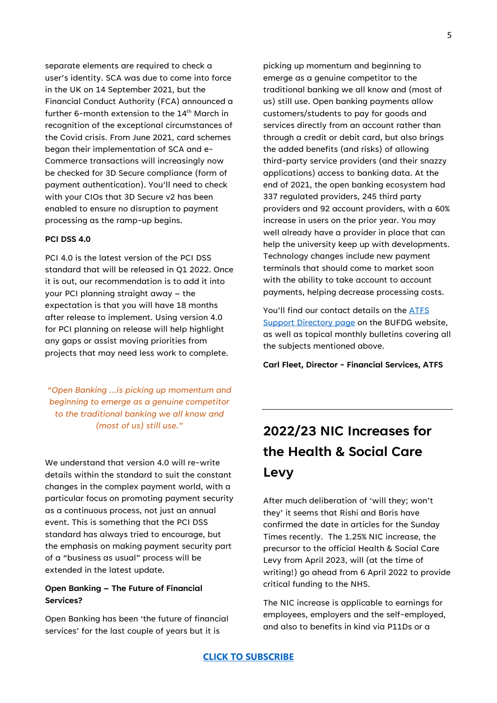separate elements are required to check a user's identity. SCA was due to come into force in the UK on 14 September 2021, but the Financial Conduct Authority (FCA) announced a further 6-month extension to the 14<sup>th</sup> March in recognition of the exceptional circumstances of the Covid crisis. From June 2021, card schemes began their implementation of SCA and e-Commerce transactions will increasingly now be checked for 3D Secure compliance (form of payment authentication). You'll need to check with your CIOs that 3D Secure v2 has been enabled to ensure no disruption to payment processing as the ramp-up begins.

#### **PCI DSS 4.0**

PCI 4.0 is the latest version of the PCI DSS standard that will be released in Q1 2022. Once it is out, our recommendation is to add it into your PCI planning straight away – the expectation is that you will have 18 months after release to implement. Using version 4.0 for PCI planning on release will help highlight any gaps or assist moving priorities from projects that may need less work to complete.

*"Open Banking …is picking up momentum and beginning to emerge as a genuine competitor to the traditional banking we all know and (most of us) still use."*

We understand that version 4.0 will re-write details within the standard to suit the constant changes in the complex payment world, with a particular focus on promoting payment security as a continuous process, not just an annual event. This is something that the PCI DSS standard has always tried to encourage, but the emphasis on making payment security part of a "business as usual" process will be extended in the latest update.

#### **Open Banking – The Future of Financial Services?**

Open Banking has been 'the future of financial services' for the last couple of years but it is

picking up momentum and beginning to emerge as a genuine competitor to the traditional banking we all know and (most of us) still use. Open banking payments allow customers/students to pay for goods and services directly from an account rather than through a credit or debit card, but also brings the added benefits (and risks) of allowing third-party service providers (and their snazzy applications) access to banking data. At the end of 2021, the open banking ecosystem had 337 regulated providers, 245 third party providers and 92 account providers, with a 60% increase in users on the prior year. You may well already have a provider in place that can help the university keep up with developments. Technology changes include new payment terminals that should come to market soon with the ability to take account to account payments, helping decrease processing costs.

You'll find our contact details on the **ATFS** [Support Directory page](https://www.bufdg.ac.uk/network/supporter-directory/general-services/atfs-finalysis/) on the BUFDG website, as well as topical monthly bulletins covering all the subjects mentioned above.

**Carl Fleet, Director - Financial Services, ATFS**

## **2022/23 NIC Increases for the Health & Social Care Levy**

After much deliberation of 'will they; won't they' it seems that Rishi and Boris have confirmed the date in articles for the Sunday Times recently. The 1.25% NIC increase, the precursor to the official Health & Social Care Levy from April 2023, will (at the time of writing!) go ahead from 6 April 2022 to provide critical funding to the NHS.

The NIC increase is applicable to earnings for employees, employers and the self-employed, and also to benefits in kind via P11Ds or a